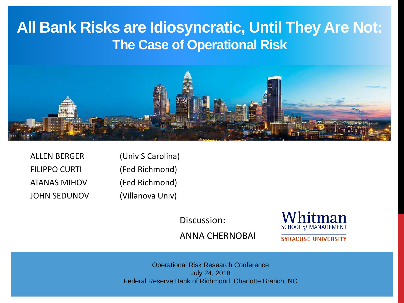# **All Bank Risks are Idiosyncratic, Until They Are Not: The Case of Operational Risk**



| <b>ALLEN BERGER</b>  | (Univ S Carolina) |
|----------------------|-------------------|
| <b>FILIPPO CURTI</b> | (Fed Richmond)    |
| <b>ATANAS MIHOV</b>  | (Fed Richmond)    |
| <b>JOHN SEDUNOV</b>  | (Villanova Univ)  |

Discussion:



ANNA CHERNOBAI

**SYRACUSE UNIVERSITY** 

Operational Risk Research Conference July 24, 2018 Federal Reserve Bank of Richmond, Charlotte Branch, NC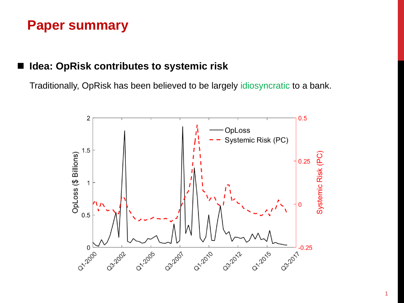#### **Idea: OpRisk contributes to systemic risk**

Traditionally, OpRisk has been believed to be largely idiosyncratic to a bank.

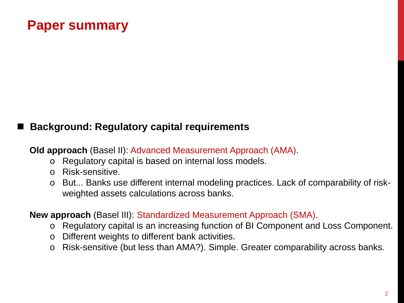#### **Background: Regulatory capital requirements**

**Old approach** (Basel II): Advanced Measurement Approach (AMA).

- o Regulatory capital is based on internal loss models.
- o Risk-sensitive.
- o But... Banks use different internal modeling practices. Lack of comparability of riskweighted assets calculations across banks.

#### **New approach** (Basel III): Standardized Measurement Approach (SMA).

- o Regulatory capital is an increasing function of BI Component and Loss Component.
- o Different weights to different bank activities.
- o Risk-sensitive (but less than AMA?). Simple. Greater comparability across banks.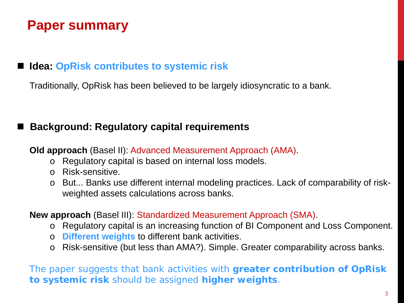#### ■ **Idea: OpRisk contributes to systemic risk**

Traditionally, OpRisk has been believed to be largely idiosyncratic to a bank.

#### **Background: Regulatory capital requirements**

**Old approach** (Basel II): Advanced Measurement Approach (AMA).

- o Regulatory capital is based on internal loss models.
- o Risk-sensitive.
- o But... Banks use different internal modeling practices. Lack of comparability of riskweighted assets calculations across banks.

#### **New approach** (Basel III): Standardized Measurement Approach (SMA).

- o Regulatory capital is an increasing function of BI Component and Loss Component.
- o **Different weights** to different bank activities.
- o Risk-sensitive (but less than AMA?). Simple. Greater comparability across banks.

The paper suggests that bank activities with **greater contribution of OpRisk to systemic risk** should be assigned **higher weights**.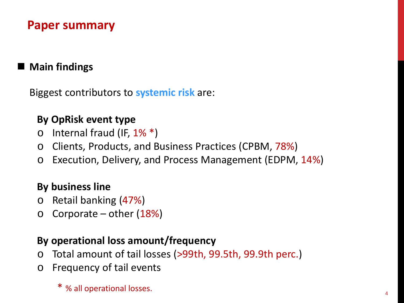### ■ Main findings

Biggest contributors to **systemic risk** are:

#### **By OpRisk event type**

- $\circ$  Internal fraud (IF,  $1\%$ <sup>\*</sup>)
- o Clients, Products, and Business Practices (CPBM, 78%)
- o Execution, Delivery, and Process Management (EDPM, 14%)

#### **By business line**

- o Retail banking (47%)
- $\circ$  Corporate other (18%)

#### **By operational loss amount/frequency**

- o Total amount of tail losses (>99th, 99.5th, 99.9th perc.)
- o Frequency of tail events
	- $*$  % all operational losses.  $4 \times 4$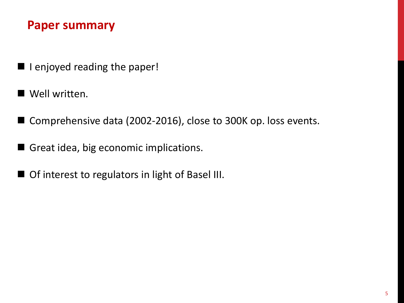- **I** lenjoyed reading the paper!
- Well written.
- Comprehensive data (2002-2016), close to 300K op. loss events.
- Great idea, big economic implications.
- **Of interest to regulators in light of Basel III.**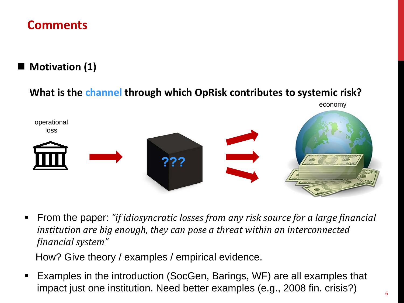# **Motivation (1)**

#### **What is the channel through which OpRisk contributes to systemic risk?**



 From the paper: *"if idiosyncratic losses from any risk source for a large financial institution are big enough, they can pose a threat within an interconnected financial system"*

How? Give theory / examples / empirical evidence.

 Examples in the introduction (SocGen, Barings, WF) are all examples that impact just one institution. Need better examples (e.g., 2008 fin. crisis?)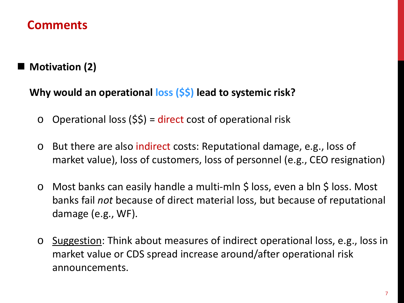# ■ Motivation (2)

#### **Why would an operational loss (\$\$) lead to systemic risk?**

- $\circ$  Operational loss (\$\$) = direct cost of operational risk
- o But there are also indirect costs: Reputational damage, e.g., loss of market value), loss of customers, loss of personnel (e.g., CEO resignation)
- o Most banks can easily handle a multi-mln \$ loss, even a bln \$ loss. Most banks fail *not* because of direct material loss, but because of reputational damage (e.g., WF).
- o Suggestion: Think about measures of indirect operational loss, e.g., loss in market value or CDS spread increase around/after operational risk announcements.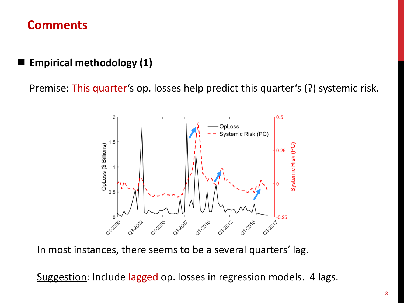### **Empirical methodology (1)**

Premise: This quarter's op. losses help predict this quarter's (?) systemic risk.



In most instances, there seems to be a several quarters' lag.

Suggestion: Include lagged op. losses in regression models. 4 lags.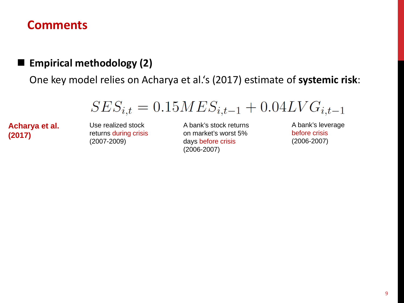#### **Empirical methodology (2)**

One key model relies on Acharya et al.'s (2017) estimate of **systemic risk**:

 $SES_{i,t} = 0.15MES_{i,t-1} + 0.04LVG_{i,t-1}$ 

**Acharya et al. (2017)**

Use realized stock returns during crisis (2007-2009)

A bank's stock returns on market's worst 5% days before crisis (2006-2007)

A bank's leverage before crisis (2006-2007)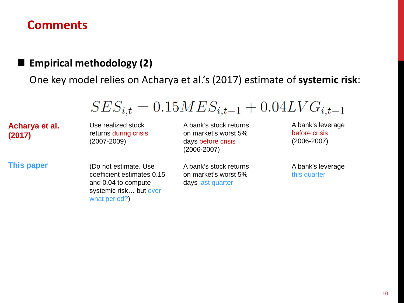#### **Empirical methodology (2)**

One key model relies on Acharya et al.'s (2017) estimate of **systemic risk**:

 $SES_{i,t} = 0.15MES_{i,t-1} + 0.04LVG_{i,t-1}$ 

**Acharya et al. (2017)**

Use realized stock returns during crisis (2007-2009)

**This paper** (Do not estimate. Use coefficient estimates 0.15 and 0.04 to compute systemic risk... but over what period?)

A bank's stock returns on market's worst 5% days before crisis (2006-2007)

A bank's stock returns on market's worst 5% days last quarter

A bank's leverage before crisis (2006-2007)

A bank's leverage this quarter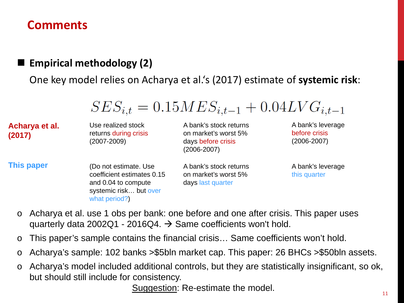#### **Empirical methodology (2)**

One key model relies on Acharya et al.'s (2017) estimate of **systemic risk**:

|                          |                                                                                                                       | $SES_{i,t} = 0.15MES_{i,t-1} + 0.04LVG_{i,t-1}$                                         |                                                   |
|--------------------------|-----------------------------------------------------------------------------------------------------------------------|-----------------------------------------------------------------------------------------|---------------------------------------------------|
| Acharya et al.<br>(2017) | Use realized stock<br>returns during crisis<br>$(2007 - 2009)$                                                        | A bank's stock returns<br>on market's worst 5%<br>days before crisis<br>$(2006 - 2007)$ | A bank's leverage<br>before crisis<br>(2006-2007) |
| <b>This paper</b>        | (Do not estimate. Use<br>coefficient estimates 0.15<br>and 0.04 to compute<br>systemic risk but over<br>what period?) | A bank's stock returns<br>on market's worst 5%<br>days last quarter                     | A bank's leverage<br>this quarter                 |

- o Acharya et al. use 1 obs per bank: one before and one after crisis. This paper uses quarterly data 2002Q1 - 2016Q4.  $\rightarrow$  Same coefficients won't hold.
- o This paper's sample contains the financial crisis… Same coefficients won't hold.
- o Acharya's sample: 102 banks >\$5bln market cap. This paper: 26 BHCs >\$50bln assets.
- o Acharya's model included additional controls, but they are statistically insignificant, so ok, but should still include for consistency.

Suggestion: Re-estimate the model.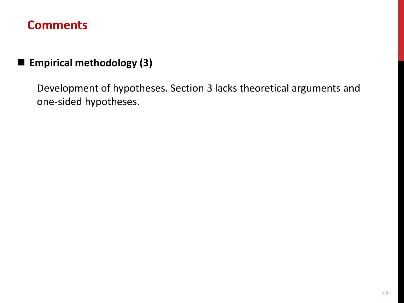# **Empirical methodology (3)**

Development of hypotheses. Section 3 lacks theoretical arguments and one-sided hypotheses.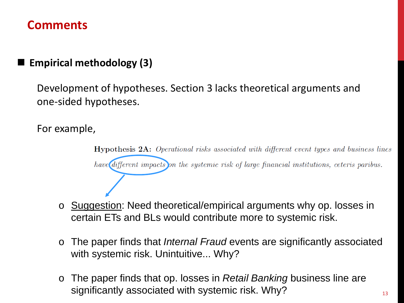### **Empirical methodology (3)**

Development of hypotheses. Section 3 lacks theoretical arguments and one-sided hypotheses.

For example,

**Hypothesis 2A:** Operational risks associated with different event types and business lines have different impacts on the systemic risk of large financial institutions, ceteris paribus.

- o Suggestion: Need theoretical/empirical arguments why op. losses in certain ETs and BLs would contribute more to systemic risk.
- o The paper finds that *Internal Fraud* events are significantly associated with systemic risk. Unintuitive... Why?
- o The paper finds that op. losses in *Retail Banking* business line are significantly associated with systemic risk. Why?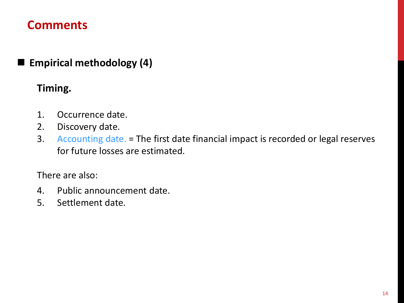### **Empirical methodology (4)**

#### **Timing.**

- 1. Occurrence date.
- 2. Discovery date.
- 3. Accounting date. = The first date financial impact is recorded or legal reserves for future losses are estimated.

There are also:

- 4. Public announcement date.
- 5. Settlement date.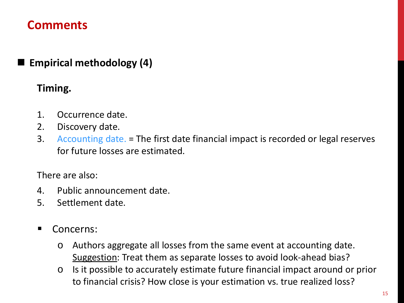### **Empirical methodology (4)**

#### **Timing.**

- 1. Occurrence date.
- 2. Discovery date.
- 3. Accounting date. = The first date financial impact is recorded or legal reserves for future losses are estimated.

There are also:

- 4. Public announcement date.
- 5. Settlement date.
- **Concerns:** 
	- o Authors aggregate all losses from the same event at accounting date. Suggestion: Treat them as separate losses to avoid look-ahead bias?
	- o Is it possible to accurately estimate future financial impact around or prior to financial crisis? How close is your estimation vs. true realized loss?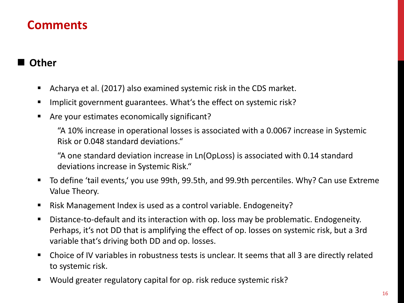#### **Other**

- Acharya et al. (2017) also examined systemic risk in the CDS market.
- Implicit government guarantees. What's the effect on systemic risk?
- Are your estimates economically significant?

"A 10% increase in operational losses is associated with a 0.0067 increase in Systemic Risk or 0.048 standard deviations."

"A one standard deviation increase in Ln(OpLoss) is associated with 0.14 standard deviations increase in Systemic Risk."

- To define 'tail events,' you use 99th, 99.5th, and 99.9th percentiles. Why? Can use Extreme Value Theory.
- Risk Management Index is used as a control variable. Endogeneity?
- Distance-to-default and its interaction with op. loss may be problematic. Endogeneity. Perhaps, it's not DD that is amplifying the effect of op. losses on systemic risk, but a 3rd variable that's driving both DD and op. losses.
- Choice of IV variables in robustness tests is unclear. It seems that all 3 are directly related to systemic risk.
- Would greater regulatory capital for op. risk reduce systemic risk?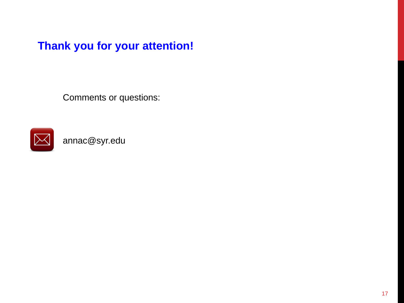**Thank you for your attention!**

Comments or questions:



annac@syr.edu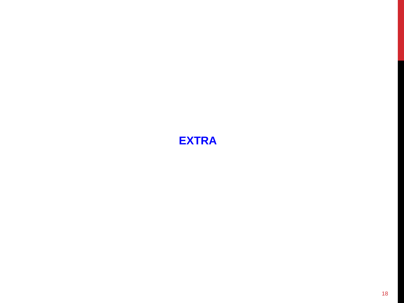# **EXTRA**